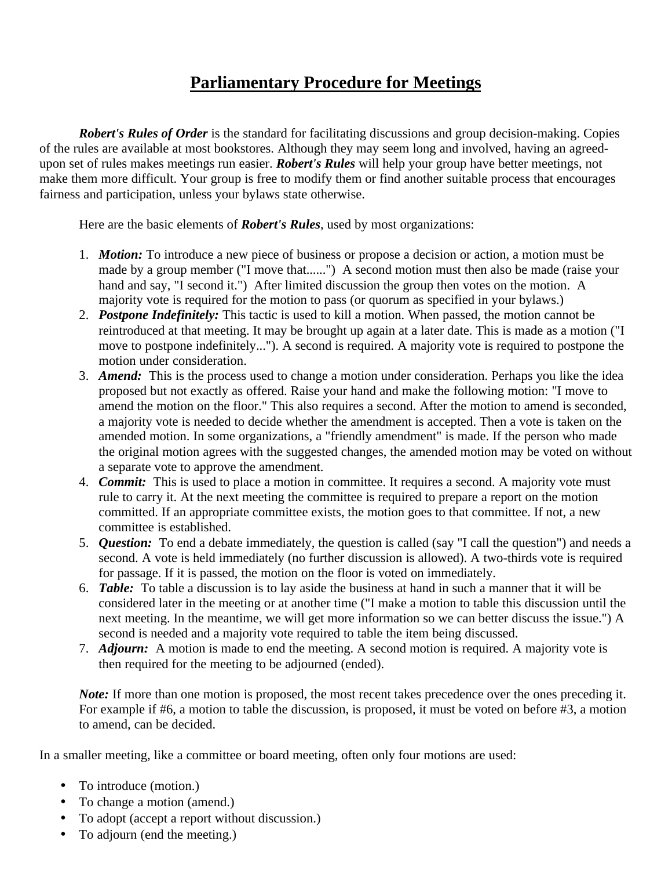## **Parliamentary Procedure for Meetings**

*Robert's Rules of Order* is the standard for facilitating discussions and group decision-making. Copies of the rules are available at most bookstores. Although they may seem long and involved, having an agreedupon set of rules makes meetings run easier. *Robert's Rules* will help your group have better meetings, not make them more difficult. Your group is free to modify them or find another suitable process that encourages fairness and participation, unless your bylaws state otherwise.

Here are the basic elements of *Robert's Rules*, used by most organizations:

- 1. *Motion:* To introduce a new piece of business or propose a decision or action, a motion must be made by a group member ("I move that......") A second motion must then also be made (raise your hand and say, "I second it.") After limited discussion the group then votes on the motion. A majority vote is required for the motion to pass (or quorum as specified in your bylaws.)
- 2. *Postpone Indefinitely:* This tactic is used to kill a motion. When passed, the motion cannot be reintroduced at that meeting. It may be brought up again at a later date. This is made as a motion ("I move to postpone indefinitely..."). A second is required. A majority vote is required to postpone the motion under consideration.
- 3. *Amend:* This is the process used to change a motion under consideration. Perhaps you like the idea proposed but not exactly as offered. Raise your hand and make the following motion: "I move to amend the motion on the floor." This also requires a second. After the motion to amend is seconded, a majority vote is needed to decide whether the amendment is accepted. Then a vote is taken on the amended motion. In some organizations, a "friendly amendment" is made. If the person who made the original motion agrees with the suggested changes, the amended motion may be voted on without a separate vote to approve the amendment.
- 4. *Commit:* This is used to place a motion in committee. It requires a second. A majority vote must rule to carry it. At the next meeting the committee is required to prepare a report on the motion committed. If an appropriate committee exists, the motion goes to that committee. If not, a new committee is established.
- 5. *Question:* To end a debate immediately, the question is called (say "I call the question") and needs a second. A vote is held immediately (no further discussion is allowed). A two-thirds vote is required for passage. If it is passed, the motion on the floor is voted on immediately.
- 6. *Table:* To table a discussion is to lay aside the business at hand in such a manner that it will be considered later in the meeting or at another time ("I make a motion to table this discussion until the next meeting. In the meantime, we will get more information so we can better discuss the issue.") A second is needed and a majority vote required to table the item being discussed.
- 7. *Adjourn:* A motion is made to end the meeting. A second motion is required. A majority vote is then required for the meeting to be adjourned (ended).

*Note:* If more than one motion is proposed, the most recent takes precedence over the ones preceding it. For example if #6, a motion to table the discussion, is proposed, it must be voted on before #3, a motion to amend, can be decided.

In a smaller meeting, like a committee or board meeting, often only four motions are used:

- To introduce (motion.)
- To change a motion (amend.)
- To adopt (accept a report without discussion.)
- To adjourn (end the meeting.)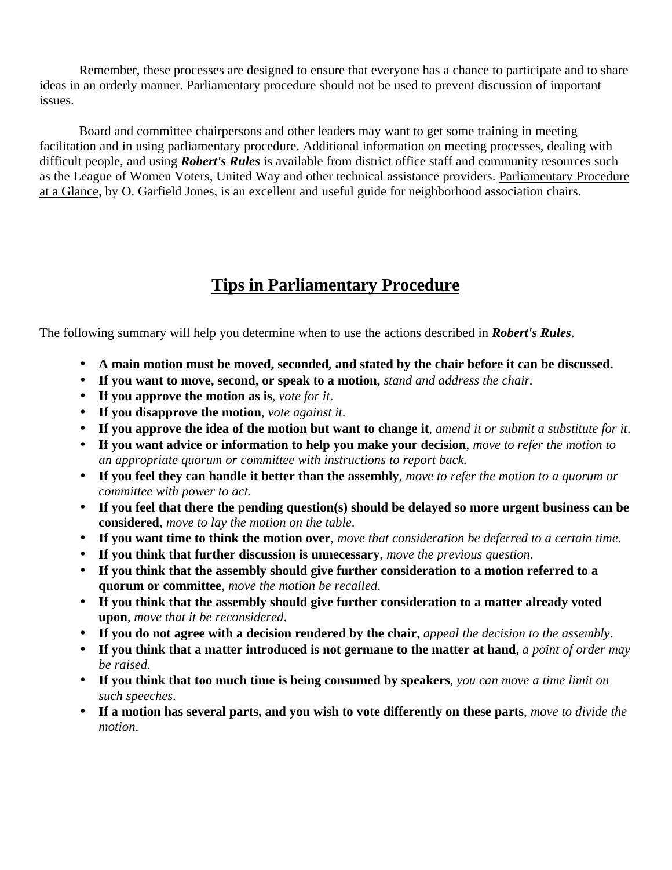Remember, these processes are designed to ensure that everyone has a chance to participate and to share ideas in an orderly manner. Parliamentary procedure should not be used to prevent discussion of important issues.

Board and committee chairpersons and other leaders may want to get some training in meeting facilitation and in using parliamentary procedure. Additional information on meeting processes, dealing with difficult people, and using *Robert's Rules* is available from district office staff and community resources such as the League of Women Voters, United Way and other technical assistance providers. Parliamentary Procedure at a Glance, by O. Garfield Jones, is an excellent and useful guide for neighborhood association chairs.

## **Tips in Parliamentary Procedure**

The following summary will help you determine when to use the actions described in *Robert's Rules*.

- **A main motion must be moved, seconded, and stated by the chair before it can be discussed.**
- **If you want to move, second, or speak to a motion,** *stand and address the chair.*
- **If you approve the motion as is**, *vote for it*.
- **If you disapprove the motion**, *vote against it*.
- **If you approve the idea of the motion but want to change it**, *amend it or submit a substitute for it*.
- **If you want advice or information to help you make your decision**, *move to refer the motion to an appropriate quorum or committee with instructions to report back.*
- **If you feel they can handle it better than the assembly**, *move to refer the motion to a quorum or committee with power to act*.
- **If you feel that there the pending question(s) should be delayed so more urgent business can be considered**, *move to lay the motion on the table*.
- **If you want time to think the motion over**, *move that consideration be deferred to a certain time*.
- **If you think that further discussion is unnecessary**, *move the previous question*.
- **If you think that the assembly should give further consideration to a motion referred to a quorum or committee**, *move the motion be recalled*.
- **If you think that the assembly should give further consideration to a matter already voted upon**, *move that it be reconsidered*.
- **If you do not agree with a decision rendered by the chair**, *appeal the decision to the assembly*.
- **If you think that a matter introduced is not germane to the matter at hand**, *a point of order may be raised*.
- **If you think that too much time is being consumed by speakers**, *you can move a time limit on such speeches*.
- **If a motion has several parts, and you wish to vote differently on these parts**, *move to divide the motion*.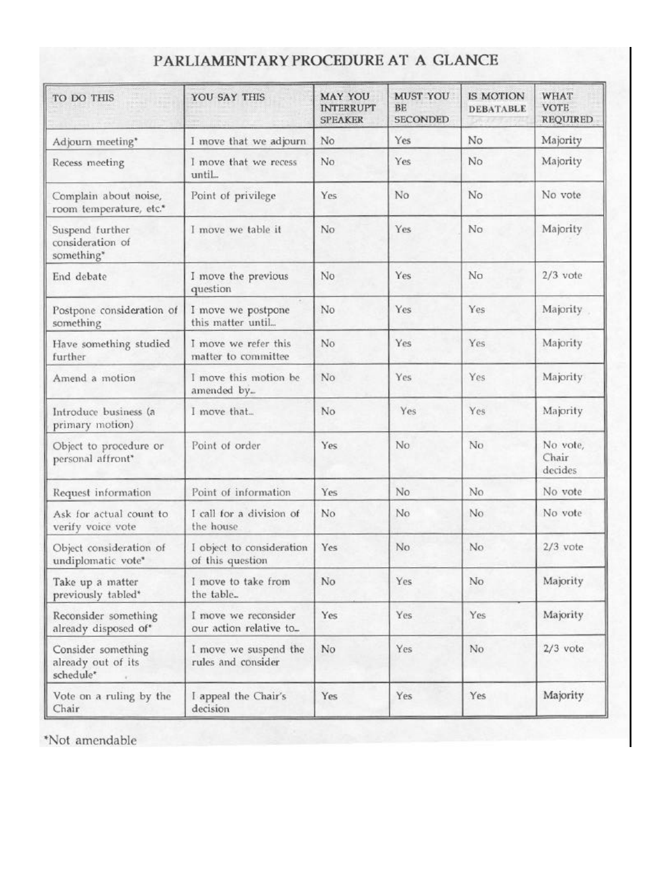# PARLIAMENTARY PROCEDURE AT A GLANCE

| TO DO THIS<br>iliya ka                                | YOU SAY THIS                                   | MAY YOU<br><b>INTERRUPT</b><br><b>SPEAKER</b> | <b>MUST YOU</b><br>BE<br><b>SECONDED</b> | <b>IS MOTION</b><br><b>DEBATABLE</b> | <b>WHAT</b><br><b>VOTE</b><br><b>REQUIRED</b> |
|-------------------------------------------------------|------------------------------------------------|-----------------------------------------------|------------------------------------------|--------------------------------------|-----------------------------------------------|
| Adjourn meeting*                                      | I move that we adjourn                         | No                                            | Yes                                      | No                                   | Majority                                      |
| Recess meeting                                        | I move that we recess<br>until                 | No                                            | Yes                                      | No                                   | Majority                                      |
| Complain about noise,<br>room temperature, etc.*      | Point of privilege                             | Yes                                           | No                                       | No                                   | No vote                                       |
| Suspend further<br>consideration of<br>something*     | I move we table it                             | No                                            | Yes                                      | No                                   | Majority                                      |
| End debate                                            | I move the previous<br>question                | No                                            | Yes                                      | No                                   | $2/3$ vote                                    |
| Postpone consideration of<br>something                | I move we postpone<br>this matter until        | No                                            | Yes                                      | Yes                                  | Majority                                      |
| Have something studied<br>further                     | I move we refer this<br>matter to committee    | No                                            | Yes                                      | Yes                                  | Majority                                      |
| Amend a motion                                        | I move this motion be<br>amended by            | No                                            | Yes                                      | Yes                                  | Majority                                      |
| Introduce business (a<br>primary motion)              | I move that                                    | No                                            | Yes                                      | Yes                                  | Majority                                      |
| Object to procedure or<br>personal affront*           | Point of order                                 | Yes                                           | No                                       | No                                   | No vote,<br>Chair<br>decides                  |
| Request information                                   | Point of information                           | Yes                                           | No.                                      | No.                                  | No vote                                       |
| Ask for actual count to<br>verify voice vote          | I call for a division of<br>the house          | No                                            | No                                       | No                                   | No vote                                       |
| Object consideration of<br>undiplomatic vote*         | I object to consideration<br>of this question  | Yes                                           | No                                       | No                                   | $2/3$ vote                                    |
| Take up a matter<br>previously tabled*                | I move to take from<br>the table               | No                                            | Yes                                      | No                                   | Majority                                      |
| Reconsider something<br>already disposed of*          | I move we reconsider<br>our action relative to | Yes                                           | Yes                                      | Yes                                  | Majority                                      |
| Consider something<br>already out of its<br>schedule* | I move we suspend the<br>rules and consider    | No                                            | Yes                                      | No                                   | $2/3$ vote                                    |
| Vote on a ruling by the<br>Chair                      | I appeal the Chair's<br>decision               | Yes                                           | Yes                                      | Yes                                  | Majority                                      |

\*Not amendable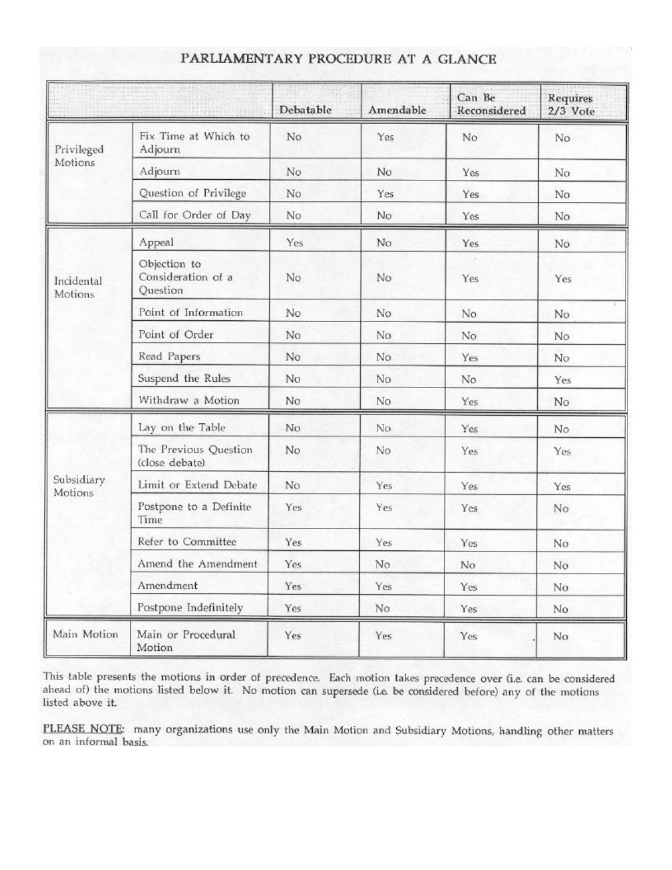|                       |                                                | Debatable      | Amendable | Can Be<br>Reconsidered | Requires<br>2/3 Vote |
|-----------------------|------------------------------------------------|----------------|-----------|------------------------|----------------------|
| Privileged<br>Motions | Fix Time at Which to<br>Adjourn                | No             | Yes       | No                     | No.                  |
|                       | Adjourn                                        | No             | No.       | Yes                    | No                   |
|                       | Question of Privilege                          | No             | Yes       | Yes                    | No                   |
|                       | Call for Order of Day                          | No             | No        | Yes                    | No                   |
| Incidental<br>Motions | Appeal                                         | Yes            | No        | Yes                    | No                   |
|                       | Objection to<br>Consideration of a<br>Question | No             | No.       | Yes                    | Yes                  |
|                       | Point of Information                           | No             | No.       | No                     | No                   |
|                       | Point of Order                                 | No.            | No        | No.                    | No                   |
|                       | Read Papers                                    | No             | No.       | Yes                    | No                   |
|                       | Suspend the Rules                              | N <sub>o</sub> | No        | No                     | Yes                  |
|                       | Withdraw a Motion                              | No             | No        | Yes                    | No.                  |
| Subsidiary<br>Motions | Lay on the Table                               | No.            | No        | Yes                    | No.                  |
|                       | The Previous Question<br>(close debate)        | No             | No        | Yes                    | Yes                  |
|                       | Limit or Extend Debate                         | No             | Yes       | Yes                    | Yes                  |
|                       | Postpone to a Definite<br>Time                 | Yes            | Yes       | Yes                    | No                   |
|                       | Refer to Committee                             | Yes            | Yes       | Yes                    | No                   |
|                       | Amend the Amendment                            | Yes            | No.       | No                     | No                   |
|                       | Amendment                                      | Yes            | Yes       | Yes                    | No.                  |
|                       | Postpone Indefinitely                          | Yes            | No.       | Yes                    | No                   |
| Main Motion           | Main or Procedural<br>Motion                   | Yes            | Yes       | Yes                    | No                   |

#### PARLIAMENTARY PROCEDURE AT A GLANCE

This table presents the motions in order of precedence. Each motion takes precedence over (i.e. can be considered ahead of) the motions listed below it. No motion can supersede (i.e. be considered before) any of the motion listed above it.

PLEASE NOTE: many organizations use only the Main Motion and Subsidiary Motions, handling other matters on an informal basis.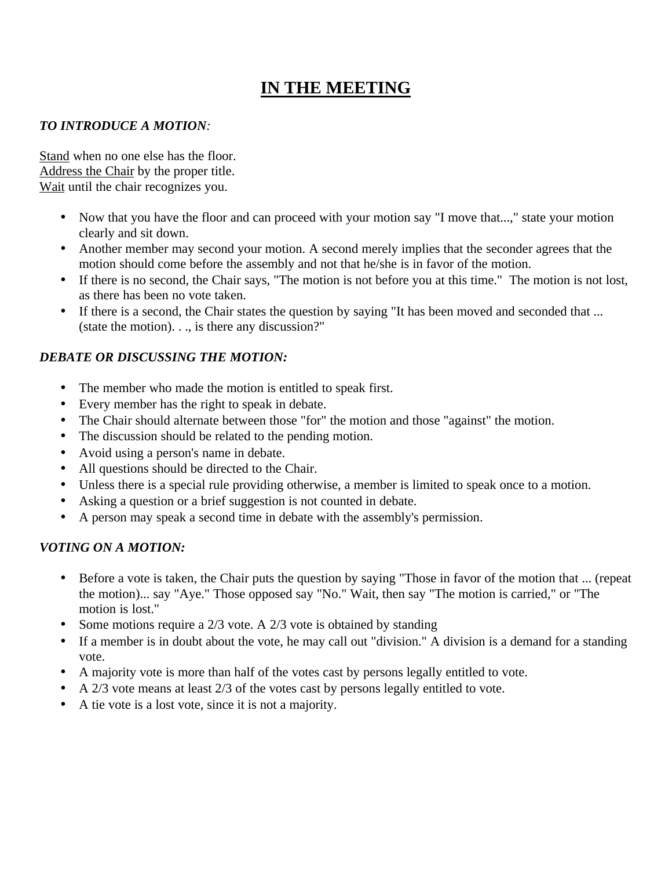# **IN THE MEETING**

#### *TO INTRODUCE A MOTION:*

Stand when no one else has the floor. Address the Chair by the proper title. Wait until the chair recognizes you.

- Now that you have the floor and can proceed with your motion say "I move that...," state your motion clearly and sit down.
- Another member may second your motion. A second merely implies that the seconder agrees that the motion should come before the assembly and not that he/she is in favor of the motion.
- If there is no second, the Chair says, "The motion is not before you at this time." The motion is not lost, as there has been no vote taken.
- If there is a second, the Chair states the question by saying "It has been moved and seconded that ... (state the motion). . ., is there any discussion?"

### *DEBATE OR DISCUSSING THE MOTION:*

- The member who made the motion is entitled to speak first.
- Every member has the right to speak in debate.
- The Chair should alternate between those "for" the motion and those "against" the motion.
- The discussion should be related to the pending motion.
- Avoid using a person's name in debate.
- All questions should be directed to the Chair.
- Unless there is a special rule providing otherwise, a member is limited to speak once to a motion.
- Asking a question or a brief suggestion is not counted in debate.
- A person may speak a second time in debate with the assembly's permission.

### *VOTING ON A MOTION:*

- Before a vote is taken, the Chair puts the question by saying "Those in favor of the motion that ... (repeat the motion)... say "Aye." Those opposed say "No." Wait, then say "The motion is carried," or "The motion is lost."
- Some motions require a 2/3 vote. A 2/3 vote is obtained by standing
- If a member is in doubt about the vote, he may call out "division." A division is a demand for a standing vote.
- A majority vote is more than half of the votes cast by persons legally entitled to vote.
- A 2/3 vote means at least 2/3 of the votes cast by persons legally entitled to vote.
- A tie vote is a lost vote, since it is not a majority.